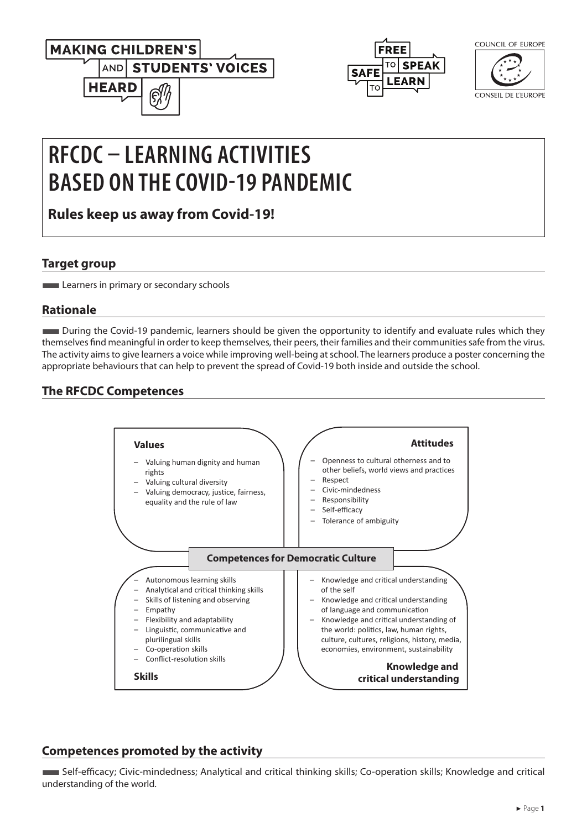





CONSEIL DE L'EUROPE

# **RFCDC – LEARNING ACTIVITIES BASED ON THE COVID-19 PANDEMIC**

**Rules keep us away from Covid-19!**

## **Target group**

**Learners in primary or secondary schools** 

# **Rationale**

■During the Covid-19 pandemic, learners should be given the opportunity to identify and evaluate rules which they themselves find meaningful in order to keep themselves, their peers, their families and their communities safe from the virus. The activity aims to give learners a voice while improving well-being at school. The learners produce a poster concerning the appropriate behaviours that can help to prevent the spread of Covid-19 both inside and outside the school.

# **The RFCDC Competences**



# **Competences promoted by the activity**

■Self-efficacy; Civic-mindedness; Analytical and critical thinking skills; Co-operation skills; Knowledge and critical understanding of the world.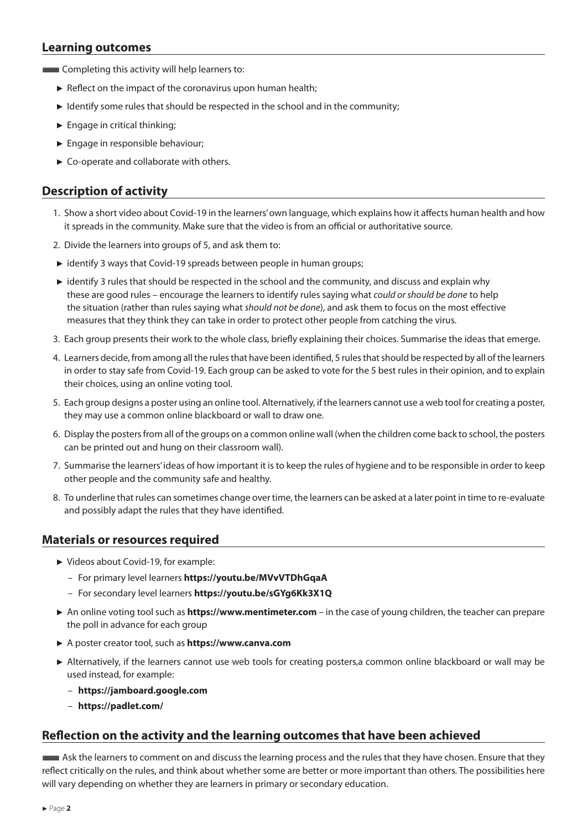#### **Learning outcomes**

- **EXECOMPLE COMPLETE IN A LOCAL EXECUTER** COMPLETING this activity will help learners to:
	- $\triangleright$  Reflect on the impact of the coronavirus upon human health;
	- ► Identify some rules that should be respected in the school and in the community;
	- $\blacktriangleright$  Engage in critical thinking;
	- ► Engage in responsible behaviour;
	- ► Co-operate and collaborate with others.

## **Description of activity**

- 1. Show a short video about Covid-19 in the learners' own language, which explains how it affects human health and how it spreads in the community. Make sure that the video is from an official or authoritative source.
- 2. Divide the learners into groups of 5, and ask them to:
- ► identify 3 ways that Covid-19 spreads between people in human groups;
- ► identify 3 rules that should be respected in the school and the community, and discuss and explain why these are good rules – encourage the learners to identify rules saying what *could or should be done* to help the situation (rather than rules saying what *should not be done*), and ask them to focus on the most effective measures that they think they can take in order to protect other people from catching the virus.
- 3. Each group presents their work to the whole class, briefly explaining their choices. Summarise the ideas that emerge.
- 4. Learners decide, from among all the rules that have been identified, 5 rules that should be respected by all of the learners in order to stay safe from Covid-19. Each group can be asked to vote for the 5 best rules in their opinion, and to explain their choices, using an online voting tool.
- 5. Each group designs a poster using an online tool. Alternatively, if the learners cannot use a web tool for creating a poster, they may use a common online blackboard or wall to draw one.
- 6. Display the posters from all of the groups on a common online wall (when the children come back to school, the posters can be printed out and hung on their classroom wall).
- 7. Summarise the learners' ideas of how important it is to keep the rules of hygiene and to be responsible in order to keep other people and the community safe and healthy.
- 8. To underline that rules can sometimes change over time, the learners can be asked at a later point in time to re-evaluate and possibly adapt the rules that they have identified.

#### **Materials or resources required**

- ► Videos about Covid-19, for example:
	- For primary level learners **<https://youtu.be/MVvVTDhGqaA>**
	- For secondary level learners **<https://youtu.be/sGYg6Kk3X1Q>**
- ► An online voting tool such as **[https://www.mentimeter.com](https://www.mentimeter.com )**  in the case of young children, the teacher can prepare the poll in advance for each group
- ► A poster creator tool, such as **<https://www.canva.com>**
- ► Alternatively, if the learners cannot use web tools for creating posters,a common online blackboard or wall may be used instead, for example:
	- **<https://jamboard.google.com>**
	- **[https://padlet.com/](https://padlet.com/ )**

#### **Reflection on the activity and the learning outcomes that have been achieved**

**Ask the learners to comment on and discuss the learning process and the rules that they have chosen. Ensure that they** reflect critically on the rules, and think about whether some are better or more important than others. The possibilities here will vary depending on whether they are learners in primary or secondary education.